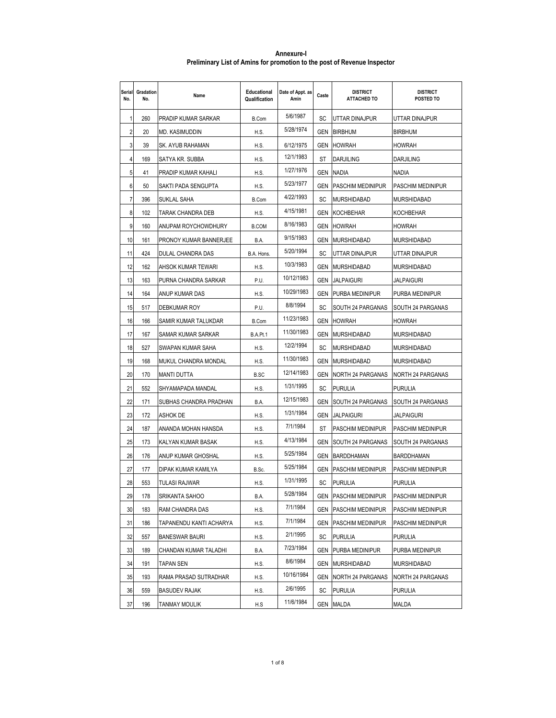**Annexure-I Preliminary List of Amins for promotion to the post of Revenue Inspector**

| Serial<br>No.  | Gradation<br>No. | Name                    | Educational<br>Qualification | Date of Appt. as<br>Amin | Caste      | <b>DISTRICT</b><br>ATTACHED TO | <b>DISTRICT</b><br>POSTED TO |
|----------------|------------------|-------------------------|------------------------------|--------------------------|------------|--------------------------------|------------------------------|
| 1              | 260              | PRADIP KUMAR SARKAR     | <b>B.Com</b>                 | 5/6/1987                 | SC         | UTTAR DINAJPUR                 | UTTAR DINAJPUR               |
| $\overline{2}$ | 20               | MD. KASIMUDDIN          | H.S.                         | 5/28/1974                | GEN        | <b>BIRBHUM</b>                 | <b>BIRBHUM</b>               |
| 3              | 39               | SK. AYUB RAHAMAN        | H.S.                         | 6/12/1975                | GEN        | <b>HOWRAH</b>                  | HOWRAH                       |
| 4              | 169              | SATYA KR. SUBBA         | H.S.                         | 12/1/1983                | ST         | <b>DARJILING</b>               | DARJILING                    |
| 5              | 41               | PRADIP KUMAR KAHALI     | H.S.                         | 1/27/1976                | GEN        | <b>NADIA</b>                   | <b>NADIA</b>                 |
| 6              | 50               | SAKTI PADA SENGUPTA     | H.S.                         | 5/23/1977                | <b>GEN</b> | PASCHIM MEDINIPUR              | PASCHIM MEDINIPUR            |
| 7              | 396              | SUKLAL SAHA             | B.Com                        | 4/22/1993                | SC         | <b>MURSHIDABAD</b>             | MURSHIDABAD                  |
| 8              | 102              | TARAK CHANDRA DEB       | H.S.                         | 4/15/1981                | GEN        | <b>KOCHBEHAR</b>               | KOCHBEHAR                    |
| 9              | 160              | ANUPAM ROYCHOWDHURY     | <b>B.COM</b>                 | 8/16/1983                | GEN        | <b>HOWRAH</b>                  | <b>HOWRAH</b>                |
| 10             | 161              | PRONOY KUMAR BANNERJEE  | B.A.                         | 9/15/1983                | GEN        | <b>MURSHIDABAD</b>             | MURSHIDABAD                  |
| 11             | 424              | DULAL CHANDRA DAS       | B.A. Hons.                   | 5/20/1994                | SC         | UTTAR DINAJPUR                 | UTTAR DINAJPUR               |
| 12             | 162              | AHSOK KUMAR TEWARI      | H.S.                         | 10/3/1983                | <b>GEN</b> | <b>MURSHIDABAD</b>             | MURSHIDABAD                  |
| 13             | 163              | PURNA CHANDRA SARKAR    | P.U.                         | 10/12/1983               | <b>GEN</b> | <b>JALPAIGURI</b>              | JALPAIGURI                   |
| 14             | 164              | ANUP KUMAR DAS          | H.S.                         | 10/29/1983               | GEN        | PURBA MEDINIPUR                | PURBA MEDINIPUR              |
| 15             | 517              | DEBKUMAR ROY            | P.U.                         | 8/8/1994                 | SC         | SOUTH 24 PARGANAS              | SOUTH 24 PARGANAS            |
| 16             | 166              | SAMIR KUMAR TALUKDAR    | <b>B.Com</b>                 | 11/23/1983               | GEN        | <b>HOWRAH</b>                  | HOWRAH                       |
| 17             | 167              | SAMAR KUMAR SARKAR      | <b>B.A.Pt.1</b>              | 11/30/1983               | <b>GEN</b> | <b>MURSHIDABAD</b>             | <b>MURSHIDABAD</b>           |
| 18             | 527              | SWAPAN KUMAR SAHA       | H.S.                         | 12/2/1994                | SC         | <b>MURSHIDABAD</b>             | MURSHIDABAD                  |
| 19             | 168              | MUKUL CHANDRA MONDAL    | H.S.                         | 11/30/1983               | GEN        | <b>MURSHIDABAD</b>             | <b>MURSHIDABAD</b>           |
| 20             | 170              | MANTI DUTTA             | <b>B.SC</b>                  | 12/14/1983               | GEN        | NORTH 24 PARGANAS              | NORTH 24 PARGANAS            |
| 21             | 552              | SHYAMAPADA MANDAL       | H.S.                         | 1/31/1995                | SC         | <b>PURULIA</b>                 | <b>PURULIA</b>               |
| 22             | 171              | SUBHAS CHANDRA PRADHAN  | B.A.                         | 12/15/1983               | GEN        | SOUTH 24 PARGANAS              | SOUTH 24 PARGANAS            |
| 23             | 172              | <b>ASHOK DE</b>         | H.S.                         | 1/31/1984                | GEN        | <b>JALPAIGURI</b>              | JALPAIGURI                   |
| 24             | 187              | ANANDA MOHAN HANSDA     | H.S.                         | 7/1/1984                 | ST         | PASCHIM MEDINIPUR              | PASCHIM MEDINIPUR            |
| 25             | 173              | KALYAN KUMAR BASAK      | H.S.                         | 4/13/1984                | GEN        | SOUTH 24 PARGANAS              | SOUTH 24 PARGANAS            |
| 26             | 176              | ANUP KUMAR GHOSHAL      | H.S.                         | 5/25/1984                | GEN        | <b>BARDDHAMAN</b>              | <b>BARDDHAMAN</b>            |
| 27             | 177              | DIPAK KUMAR KAMILYA     | B.Sc.                        | 5/25/1984                | GEN        | PASCHIM MEDINIPUR              | PASCHIM MEDINIPUR            |
| 28             | 553              | <b>TULASI RAJWAR</b>    | H.S.                         | 1/31/1995                | SC         | <b>PURULIA</b>                 | PURULIA                      |
| 29             | 178              | SRIKANTA SAHOO          | B.A.                         | 5/28/1984                | GEN        | PASCHIM MEDINIPUR              | PASCHIM MEDINIPUR            |
| 30             | 183              | RAM CHANDRA DAS         | H.S.                         | 7/1/1984                 | GEN        | <b>PASCHIM MEDINIPUR</b>       | PASCHIM MEDINIPUR            |
| 31             | 186              | TAPANENDU KANTI ACHARYA | H.S.                         | 7/1/1984                 | GEN        | <b>PASCHIM MEDINIPUR</b>       | PASCHIM MEDINIPUR            |
| 32             | 557              | <b>BANESWAR BAURI</b>   | H.S.                         | 2/1/1995                 | SC         | <b>PURULIA</b>                 | PURULIA                      |
| 33             | 189              | CHANDAN KUMAR TALADHI   | B.A.                         | 7/23/1984                | GEN        | PURBA MEDINIPUR                | PURBA MEDINIPUR              |
| 34             | 191              | <b>TAPAN SEN</b>        | H.S.                         | 8/6/1984                 |            | <b>GEN MURSHIDABAD</b>         | MURSHIDABAD                  |
| 35             | 193              | RAMA PRASAD SUTRADHAR   | H.S.                         | 10/16/1984               | GEN        | NORTH 24 PARGANAS              | NORTH 24 PARGANAS            |
| 36             | 559              | <b>BASUDEV RAJAK</b>    | H.S.                         | 2/6/1995                 | SC         | <b>PURULIA</b>                 | PURULIA                      |
| 37             | 196              | TANMAY MOULIK           | H.S                          | 11/6/1984                | GEN        | MALDA                          | MALDA                        |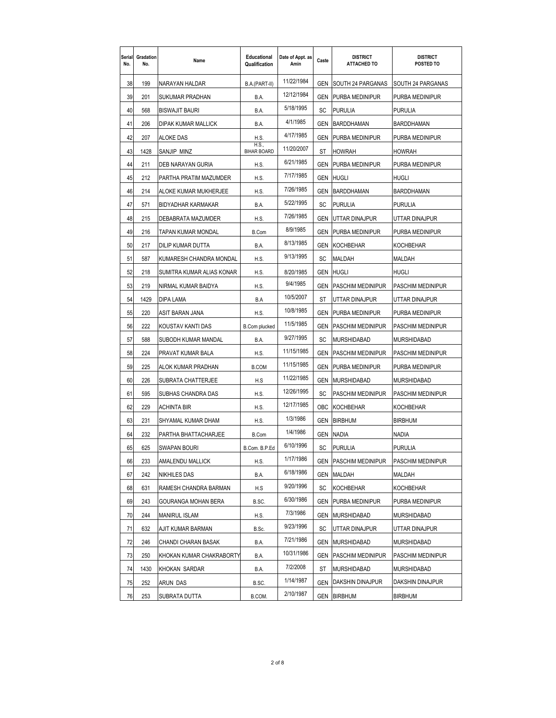| Serial<br>No. | Gradation<br>No. | Name                      | Educational<br>Qualification | Date of Appt. as<br>Amin | Caste      | <b>DISTRICT</b><br><b>ATTACHED TO</b> | <b>DISTRICT</b><br>POSTED TO |
|---------------|------------------|---------------------------|------------------------------|--------------------------|------------|---------------------------------------|------------------------------|
| 38            | 199              | NARAYAN HALDAR            | B.A.(PART-II)                | 11/22/1984               | <b>GEN</b> | SOUTH 24 PARGANAS                     | SOUTH 24 PARGANAS            |
| 39            | 201              | <b>SUKUMAR PRADHAN</b>    | B.A.                         | 12/12/1984               | GEN        | PURBA MEDINIPUR                       | PURBA MEDINIPUR              |
| 40            | 568              | <b>BISWAJIT BAURI</b>     | B.A.                         | 5/18/1995                | SC         | <b>PURULIA</b>                        | PURULIA                      |
| 41            | 206              | DIPAK KUMAR MALLICK       | B.A.                         | 4/1/1985                 | <b>GEN</b> | <b>BARDDHAMAN</b>                     | BARDDHAMAN                   |
| 42            | 207              | <b>ALOKE DAS</b>          | H.S.                         | 4/17/1985                | <b>GEN</b> | PURBA MEDINIPUR                       | PURBA MEDINIPUR              |
| 43            | 1428             | SANJIP MINZ               | H.S.,<br><b>BIHAR BOARD</b>  | 11/20/2007               | ST         | <b>HOWRAH</b>                         | HOWRAH                       |
| 44            | 211              | DEB NARAYAN GURIA         | H.S.                         | 6/21/1985                | <b>GEN</b> | PURBA MEDINIPUR                       | PURBA MEDINIPUR              |
| 45            | 212              | PARTHA PRATIM MAZUMDER    | H.S.                         | 7/17/1985                | GEN        | <b>HUGLI</b>                          | HUGLI                        |
| 46            | 214              | ALOKE KUMAR MUKHERJEE     | H.S.                         | 7/26/1985                | <b>GEN</b> | <b>BARDDHAMAN</b>                     | BARDDHAMAN                   |
| 47            | 571              | BIDYADHAR KARMAKAR        | B.A.                         | 5/22/1995                | SC         | <b>PURULIA</b>                        | Purulia                      |
| 48            | 215              | DEBABRATA MAZUMDER        | H.S.                         | 7/26/1985                | <b>GEN</b> | UTTAR DINAJPUR                        | UTTAR DINAJPUR               |
| 49            | 216              | TAPAN KUMAR MONDAL        | <b>B.Com</b>                 | 8/9/1985                 | GEN        | PURBA MEDINIPUR                       | PURBA MEDINIPUR              |
| 50            | 217              | DILIP KUMAR DUTTA         | B.A.                         | 8/13/1985                | GEN        | <b>KOCHBEHAR</b>                      | KOCHBEHAR                    |
| 51            | 587              | KUMARESH CHANDRA MONDAL   | H.S.                         | 9/13/1995                | SC         | <b>MALDAH</b>                         | MALDAH                       |
| 52            | 218              | SUMITRA KUMAR ALIAS KONAR | H.S.                         | 8/20/1985                | <b>GEN</b> | <b>HUGLI</b>                          | HUGLI                        |
| 53            | 219              | NIRMAL KUMAR BAIDYA       | H.S.                         | 9/4/1985                 | GEN        | <b>PASCHIM MEDINIPUR</b>              | PASCHIM MEDINIPUR            |
| 54            | 1429             | <b>DIPA LAMA</b>          | B.A                          | 10/5/2007                | ST         | UTTAR DINAJPUR                        | UTTAR DINAJPUR               |
| 55            | 220              | ASIT BARAN JANA           | H.S.                         | 10/8/1985                | GEN        | PURBA MEDINIPUR                       | PURBA MEDINIPUR              |
| 56            | 222              | KOUSTAV KANTI DAS         | <b>B.Com plucked</b>         | 11/5/1985                | GEN        | PASCHIM MEDINIPUR                     | PASCHIM MEDINIPUR            |
| 57            | 588              | SUBODH KUMAR MANDAL       | B.A.                         | 9/27/1995                | SC         | <b>MURSHIDABAD</b>                    | MURSHIDABAD                  |
| 58            | 224              | PRAVAT KUMAR BALA         | H.S.                         | 11/15/1985               | <b>GEN</b> | PASCHIM MEDINIPUR                     | PASCHIM MEDINIPUR            |
| 59            | 225              | ALOK KUMAR PRADHAN        | <b>B.COM</b>                 | 11/15/1985               | GEN        | PURBA MEDINIPUR                       | PURBA MEDINIPUR              |
| 60            | 226              | SUBRATA CHATTERJEE        | H.S                          | 11/22/1985               | <b>GEN</b> | <b>MURSHIDABAD</b>                    | MURSHIDABAD                  |
| 61            | 595              | SUBHAS CHANDRA DAS        | H.S.                         | 12/26/1995               | SC         | PASCHIM MEDINIPUR                     | PASCHIM MEDINIPUR            |
| 62            | 229              | ACHINTA BIR               | H.S.                         | 12/17/1985               | OBC        | <b>KOCHBEHAR</b>                      | KOCHBEHAR                    |
| 63            | 231              | SHYAMAL KUMAR DHAM        | H.S.                         | 1/3/1986                 | GEN        | <b>BIRBHUM</b>                        | <b>BIRBHUM</b>               |
| 64            | 232              | PARTHA BHATTACHARJEE      | <b>B.Com</b>                 | 1/4/1986                 | GEN        | <b>NADIA</b>                          | Nadia                        |
| 65            | 625              | SWAPAN BOURI              | B.Com. B.P.Ed                | 6/10/1996                | SC         | <b>PURULIA</b>                        | PURULIA                      |
| 66            | 233              | AMALENDU MALLICK          | H.S.                         | 1/17/1986                | GEN        | PASCHIM MEDINIPUR                     | PASCHIM MEDINIPUR            |
| 67            | 242              | NIKHILES DAS              | B.A.                         | 6/18/1986                | GEN        | MALDAH                                | MALDAH                       |
| 68            | 631              | RAMESH CHANDRA BARMAN     | H.S                          | 9/20/1996                | SC         | KOCHBEHAR                             | KOCHBEHAR                    |
| 69            | 243              | GOURANGA MOHAN BERA       | B.SC.                        | 6/30/1986                | GEN        | PURBA MEDINIPUR                       | PURBA MEDINIPUR              |
| 70            | 244              | MANIRUL ISLAM             | H.S.                         | 7/3/1986                 | GEN        | <b>MURSHIDABAD</b>                    | MURSHIDABAD                  |
| 71            | 632              | AJIT KUMAR BARMAN         | B.Sc.                        | 9/23/1996                | SC         | UTTAR DINAJPUR                        | UTTAR DINAJPUR               |
| 72            | 246              | CHANDI CHARAN BASAK       | B.A.                         | 7/21/1986                | GEN        | <b>MURSHIDABAD</b>                    | MURSHIDABAD                  |
| 73            | 250              | KHOKAN KUMAR CHAKRABORTY  | B.A.                         | 10/31/1986               | GEN        | PASCHIM MEDINIPUR                     | PASCHIM MEDINIPUR            |
| 74            | 1430             | KHOKAN SARDAR             | B.A.                         | 7/2/2008                 | ST         | MURSHIDABAD                           | MURSHIDABAD                  |
| 75            | 252              | ARUN DAS                  | B.SC.                        | 1/14/1987                | GEN        | DAKSHIN DINAJPUR                      | DAKSHIN DINAJPUR             |
| 76            | 253              | SUBRATA DUTTA             | B.COM.                       | 2/10/1987                |            | <b>GEN BIRBHUM</b>                    | BIRBHUM                      |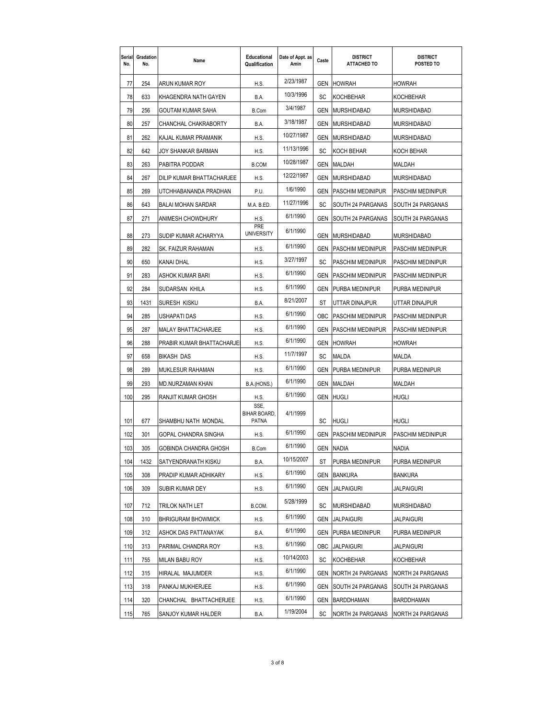| Serial<br>No. | Gradation<br>No. | Name                       | Educational<br>Qualification | Date of Appt. as<br>Amin | Caste      | <b>DISTRICT</b><br><b>ATTACHED TO</b> | <b>DISTRICT</b><br>POSTED TO |
|---------------|------------------|----------------------------|------------------------------|--------------------------|------------|---------------------------------------|------------------------------|
| 77            | 254              | ARUN KUMAR ROY             | H.S.                         | 2/23/1987                | <b>GEN</b> | <b>HOWRAH</b>                         | HOWRAH                       |
| 78            | 633              | KHAGENDRA NATH GAYEN       | B.A.                         | 10/3/1996                | SC         | <b>KOCHBEHAR</b>                      | KOCHBEHAR                    |
| 79            | 256              | GOUTAM KUMAR SAHA          | <b>B.Com</b>                 | 3/4/1987                 | GEN        | <b>MURSHIDABAD</b>                    | MURSHIDABAD                  |
| 80            | 257              | CHANCHAL CHAKRABORTY       | B.A.                         | 3/18/1987                | <b>GEN</b> | <b>MURSHIDABAD</b>                    | MURSHIDABAD                  |
| 81            | 262              | KAJAL KUMAR PRAMANIK       | H.S.                         | 10/27/1987               | <b>GEN</b> | <b>MURSHIDABAD</b>                    | MURSHIDABAD                  |
| 82            | 642              | JOY SHANKAR BARMAN         | H.S.                         | 11/13/1996               | SC         | <b>KOCH BEHAR</b>                     | KOCH BEHAR                   |
| 83            | 263              | PABITRA PODDAR             | <b>B.COM</b>                 | 10/28/1987               | <b>GEN</b> | <b>MALDAH</b>                         | MALDAH                       |
| 84            | 267              | DILIP KUMAR BHATTACHARJEE  | H.S.                         | 12/22/1987               | <b>GEN</b> | <b>MURSHIDABAD</b>                    | MURSHIDABAD                  |
| 85            | 269              | UTCHHABANANDA PRADHAN      | P.U.                         | 1/6/1990                 | <b>GEN</b> | <b>PASCHIM MEDINIPUR</b>              | PASCHIM MEDINIPUR            |
| 86            | 643              | <b>BALAI MOHAN SARDAR</b>  | M.A. B.ED.                   | 11/27/1996               | SC         | SOUTH 24 PARGANAS                     | SOUTH 24 PARGANAS            |
| 87            | 271              | ANIMESH CHOWDHURY          | H.S.                         | 6/1/1990                 | <b>GEN</b> | SOUTH 24 PARGANAS                     | SOUTH 24 PARGANAS            |
| 88            | 273              | SUDIP KUMAR ACHARYYA       | PRE<br><b>UNIVERSITY</b>     | 6/1/1990                 | GEN        | <b>MURSHIDABAD</b>                    | MURSHIDABAD                  |
| 89            | 282              | <b>SK. FAIZUR RAHAMAN</b>  | H.S.                         | 6/1/1990                 | <b>GEN</b> | <b>PASCHIM MEDINIPUR</b>              | PASCHIM MEDINIPUR            |
| 90            | 650              | <b>KANAI DHAL</b>          | H.S.                         | 3/27/1997                | SC         | PASCHIM MEDINIPUR                     | PASCHIM MEDINIPUR            |
| 91            | 283              | ASHOK KUMAR BARI           | H.S.                         | 6/1/1990                 | <b>GEN</b> | <b>PASCHIM MEDINIPUR</b>              | PASCHIM MEDINIPUR            |
| 92            | 284              | SUDARSAN KHILA             | H.S.                         | 6/1/1990                 | <b>GEN</b> | PURBA MEDINIPUR                       | PURBA MEDINIPUR              |
| 93            | 1431             | SURESH KISKU               | B.A.                         | 8/21/2007                | <b>ST</b>  | UTTAR DINAJPUR                        | UTTAR DINAJPUR               |
| 94            | 285              | USHAPATI DAS               | H.S.                         | 6/1/1990                 | OBC        | <b>PASCHIM MEDINIPUR</b>              | PASCHIM MEDINIPUR            |
| 95            | 287              | <b>MALAY BHATTACHARJEE</b> | H.S.                         | 6/1/1990                 | GEN        | PASCHIM MEDINIPUR                     | PASCHIM MEDINIPUR            |
| 96            | 288              | PRABIR KUMAR BHATTACHARJE  | H.S.                         | 6/1/1990                 | GEN        | <b>HOWRAH</b>                         | HOWRAH                       |
| 97            | 658              | <b>BIKASH DAS</b>          | H.S.                         | 11/7/1997                | SC         | MALDA                                 | Malda                        |
| 98            | 289              | <b>MUKLESUR RAHAMAN</b>    | H.S.                         | 6/1/1990                 | GEN        | PURBA MEDINIPUR                       | PURBA MEDINIPUR              |
| 99            | 293              | MD.NURZAMAN KHAN           | B.A.(HONS.)                  | 6/1/1990                 | GEN        | <b>MALDAH</b>                         | MALDAH                       |
| 100           | 295              | RANJIT KUMAR GHOSH         | H.S.                         | 6/1/1990                 | GEN        | <b>HUGLI</b>                          | HUGLI                        |
|               |                  |                            | SSE.<br>BIHAR BOARD,         | 4/1/1999                 |            |                                       |                              |
| 101           | 677              | SHAMBHU NATH MONDAL        | <b>PATNA</b>                 |                          | SC         | <b>HUGLI</b>                          | HUGLI                        |
| 102           | 301              | GOPAL CHANDRA SINGHA       | H.S.                         | 6/1/1990                 | <b>GEN</b> | PASCHIM MEDINIPUR                     | PASCHIM MEDINIPUR            |
| 103           | 305              | GOBINDA CHANDRA GHOSH      | B.Com                        | 6/1/1990                 | GEN        | <b>NADIA</b>                          | <b>NADIA</b>                 |
| 104           | 1432             | SATYENDRANATH KISKU        | B.A.                         | 10/15/2007               | <b>ST</b>  | PURBA MEDINIPUR                       | PURBA MEDINIPUR              |
| 105           | 308              | PRADIP KUMAR ADHIKARY      | H.S.                         | 6/1/1990                 | GEN        | <b>BANKURA</b>                        | BANKURA                      |
| 106           | 309              | SUBIR KUMAR DEY            | H.S.                         | 6/1/1990                 | GEN        | <b>JALPAIGURI</b>                     | JALPAIGURI                   |
| 107           | 712              | TRILOK NATH LET            | B.COM.                       | 5/28/1999                | SC         | <b>MURSHIDABAD</b>                    | MURSHIDABAD                  |
| 108           | 310              | <b>BHRIGURAM BHOWMICK</b>  | H.S.                         | 6/1/1990                 | GEN        | <b>JALPAIGURI</b>                     | JALPAIGURI                   |
| 109           | 312              | ASHOK DAS PATTANAYAK       | B.A.                         | 6/1/1990                 | GEN        | PURBA MEDINIPUR                       | PURBA MEDINIPUR              |
| 110           | 313              | PARIMAL CHANDRA ROY        | H.S.                         | 6/1/1990                 | ОВС        | <b>JALPAIGURI</b>                     | JALPAIGURI                   |
| 111           | 755              | MILAN BABU ROY             | H.S.                         | 10/14/2003               | SC         | KOCHBEHAR                             | KOCHBEHAR                    |
| 112           | 315              | HIRALAL MAJUMDER           | H.S.                         | 6/1/1990                 | GEN        | NORTH 24 PARGANAS                     | NORTH 24 PARGANAS            |
| 113           | 318              | PANKAJ MUKHERJEE           | H.S.                         | 6/1/1990                 | GEN        | SOUTH 24 PARGANAS                     | SOUTH 24 PARGANAS            |
| 114           | 320              | CHANCHAL BHATTACHERJEE     | H.S.                         | 6/1/1990                 | GEN        | <b>BARDDHAMAN</b>                     | BARDDHAMAN                   |
| 115           | 765              | SANJOY KUMAR HALDER        | B.A.                         | 1/19/2004                | SC         | NORTH 24 PARGANAS                     | NORTH 24 PARGANAS            |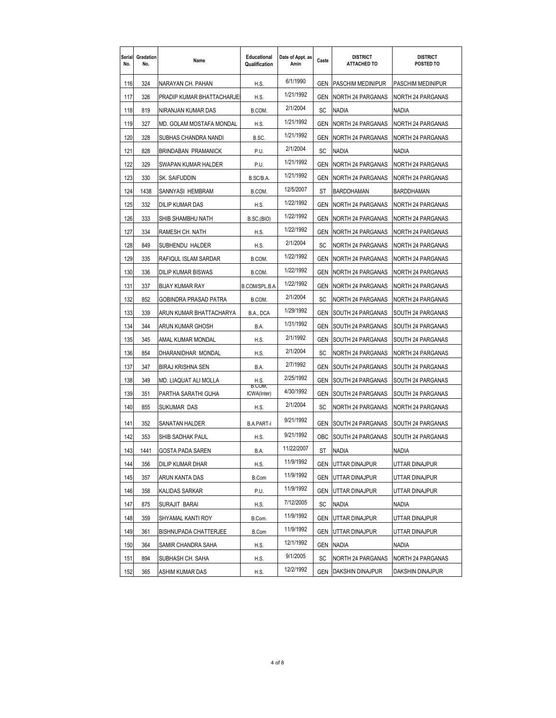| Serial<br>No. | Gradation<br>No. | Name                         | Educational<br>Qualification | Date of Appt. as<br>Amin | Caste      | <b>DISTRICT</b><br><b>ATTACHED TO</b> | <b>DISTRICT</b><br>POSTED TO |
|---------------|------------------|------------------------------|------------------------------|--------------------------|------------|---------------------------------------|------------------------------|
| 116           | 324              | NARAYAN CH. PAHAN            | H.S.                         | 6/1/1990                 | <b>GEN</b> | PASCHIM MEDINIPUR                     | PASCHIM MEDINIPUR            |
| 117           | 326              | PRADIP KUMAR BHATTACHARJE    | H.S.                         | 1/21/1992                | <b>GEN</b> | <b>NORTH 24 PARGANAS</b>              | <b>NORTH 24 PARGANAS</b>     |
| 118           | 819              | NIRANJAN KUMAR DAS           | B.COM.                       | 2/1/2004                 | SC         | <b>NADIA</b>                          | NADIA                        |
| 119           | 327              | MD. GOLAM MOSTAFA MONDAL     | H.S.                         | 1/21/1992                | <b>GEN</b> | <b>NORTH 24 PARGANAS</b>              | <b>NORTH 24 PARGANAS</b>     |
| 120           | 328              | SUBHAS CHANDRA NANDI         | B.SC.                        | 1/21/1992                | <b>GEN</b> | <b>NORTH 24 PARGANAS</b>              | <b>NORTH 24 PARGANAS</b>     |
| 121           | 828              | <b>BRINDABAN PRAMANICK</b>   | P.U.                         | 2/1/2004                 | SC         | <b>NADIA</b>                          | <b>NADIA</b>                 |
| 122           | 329              | SWAPAN KUMAR HALDER          | P.U.                         | 1/21/1992                | <b>GEN</b> | NORTH 24 PARGANAS                     | <b>NORTH 24 PARGANAS</b>     |
| 123           | 330              | SK. SAIFUDDIN                | B.SC/B.A.                    | 1/21/1992                | <b>GEN</b> | <b>NORTH 24 PARGANAS</b>              | <b>NORTH 24 PARGANAS</b>     |
| 124           | 1438             | SANNYASI HEMBRAM             | B.COM.                       | 12/5/2007                | <b>ST</b>  | <b>BARDDHAMAN</b>                     | BARDDHAMAN                   |
| 125           | 332              | DILIP KUMAR DAS              | H.S.                         | 1/22/1992                | <b>GEN</b> | <b>NORTH 24 PARGANAS</b>              | NORTH 24 PARGANAS            |
| 126           | 333              | SHIB SHAMBHU NATH            | B.SC.(BIO)                   | 1/22/1992                | <b>GEN</b> | <b>NORTH 24 PARGANAS</b>              | <b>NORTH 24 PARGANAS</b>     |
| 127           | 334              | RAMESH CH. NATH              | H.S.                         | 1/22/1992                | <b>GEN</b> | <b>NORTH 24 PARGANAS</b>              | <b>NORTH 24 PARGANAS</b>     |
| 128           | 849              | SUBHENDU HALDER              | H.S.                         | 2/1/2004                 | SC         | NORTH 24 PARGANAS                     | NORTH 24 PARGANAS            |
| 129           | 335              | RAFIQUL ISLAM SARDAR         | B.COM.                       | 1/22/1992                | <b>GEN</b> | NORTH 24 PARGANAS                     | <b>NORTH 24 PARGANAS</b>     |
| 130           | 336              | <b>DILIP KUMAR BISWAS</b>    | B.COM.                       | 1/22/1992                | <b>GEN</b> | <b>NORTH 24 PARGANAS</b>              | <b>NORTH 24 PARGANAS</b>     |
| 131           | 337              | <b>BIJAY KUMAR RAY</b>       | <b>B.COM/SPL.B.A</b>         | 1/22/1992                | <b>GEN</b> | <b>NORTH 24 PARGANAS</b>              | NORTH 24 PARGANAS            |
| 132           | 852              | GOBINDRA PRASAD PATRA        | B.COM.                       | 2/1/2004                 | SC         | <b>NORTH 24 PARGANAS</b>              | <b>NORTH 24 PARGANAS</b>     |
| 133           | 339              | ARUN KUMAR BHATTACHARYA      | B.A., DCA                    | 1/29/1992                | <b>GEN</b> | SOUTH 24 PARGANAS                     | SOUTH 24 PARGANAS            |
| 134           | 344              | ARUN KUMAR GHOSH             | B.A.                         | 1/31/1992                | <b>GEN</b> | SOUTH 24 PARGANAS                     | SOUTH 24 PARGANAS            |
| 135           | 345              | AMAL KUMAR MONDAL            | H.S.                         | 2/1/1992                 | <b>GEN</b> | SOUTH 24 PARGANAS                     | SOUTH 24 PARGANAS            |
| 136           | 854              | DHARANIDHAR MONDAL           | H.S.                         | 2/1/2004                 | SC         | NORTH 24 PARGANAS                     | NORTH 24 PARGANAS            |
| 137           | 347              | <b>BIRAJ KRISHNA SEN</b>     | B.A.                         | 2/7/1992                 | <b>GEN</b> | SOUTH 24 PARGANAS                     | SOUTH 24 PARGANAS            |
| 138           | 349              | MD. LIAQUAT ALI MOLLA        | H.S.                         | 2/25/1992                | <b>GEN</b> | SOUTH 24 PARGANAS                     | SOUTH 24 PARGANAS            |
| 139           | 351              | PARTHA SARATHI GUHA          | B.COM,<br>ICWA(Inter)        | 4/30/1992                | <b>GEN</b> | SOUTH 24 PARGANAS                     | SOUTH 24 PARGANAS            |
| 140           | 855              | SUKUMAR DAS                  | H.S.                         | 2/1/2004                 | SC         | NORTH 24 PARGANAS                     | NORTH 24 PARGANAS            |
| 141           | 352              | SANATAN HALDER               | <b>B.A.PART-I</b>            | 9/21/1992                | <b>GEN</b> | SOUTH 24 PARGANAS                     | SOUTH 24 PARGANAS            |
| 142           | 353              | <b>SHIB SADHAK PAUL</b>      | H.S.                         | 9/21/1992                | OBC        | <b>SOUTH 24 PARGANAS</b>              | SOUTH 24 PARGANAS            |
| 143           | 1441             | <b>GOSTA PADA SAREN</b>      | B.A.                         | 11/22/2007               | ST         | <b>NADIA</b>                          | <b>NADIA</b>                 |
| 144           | 356              | DILIP KUMAR DHAR             | H.S.                         | 11/9/1992                |            | <b>GEN UTTAR DINAJPUR</b>             | UTTAR DINAJPUR               |
| 145           | 357              | ARUN KANTA DAS               | <b>B.Com</b>                 | 11/9/1992                | <b>GEN</b> | UTTAR DINAJPUR                        | UTTAR DINAJPUR               |
| 146           | 358              | KALIDAS SARKAR               | P.U.                         | 11/9/1992                | GEN        | UTTAR DINAJPUR                        | UTTAR DINAJPUR               |
| 147           | 875              | SURAJIT BARAI                | H.S.                         | 7/12/2005                | SC         | NADIA                                 | Nadia                        |
| 148           | 359              | SHYAMAL KANTI ROY            | B.Com.                       | 11/9/1992                | GEN        | UTTAR DINAJPUR                        | UTTAR DINAJPUR               |
| 149           | 361              | <b>BISHNUPADA CHATTERJEE</b> | <b>B.Com</b>                 | 11/9/1992                | GEN        | UTTAR DINAJPUR                        | UTTAR DINAJPUR               |
| 150           | 364              | SAMIR CHANDRA SAHA           | H.S.                         | 12/1/1992                | GEN        | <b>NADIA</b>                          | NADIA                        |
| 151           | 894              | SUBHASH CH. SAHA             | H.S.                         | 9/1/2005                 | SC         | NORTH 24 PARGANAS                     | NORTH 24 PARGANAS            |
| 152           | 365              | ASHIM KUMAR DAS              | H.S.                         | 12/2/1992                | GEN        | DAKSHIN DINAJPUR                      | DAKSHIN DINAJPUR             |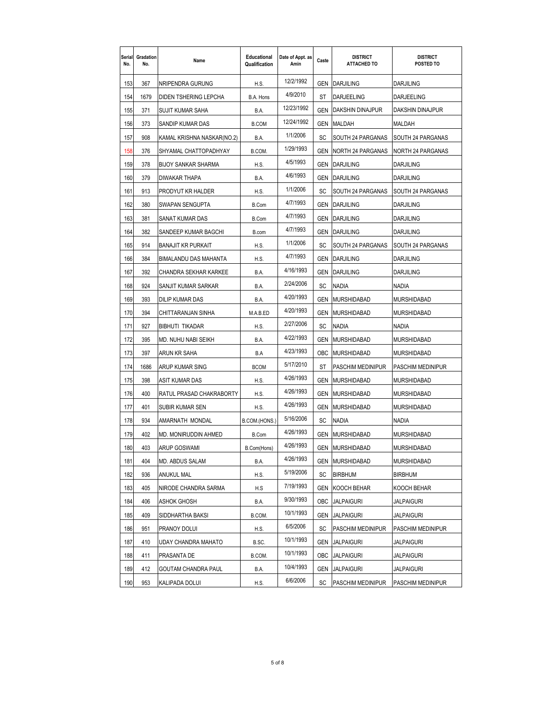| Serial<br>No. | Gradation<br>No. | Name                       | Educational<br>Qualification | Date of Appt. as<br>Amin | Caste | <b>DISTRICT</b><br><b>ATTACHED TO</b> | <b>DISTRICT</b><br>POSTED TO |
|---------------|------------------|----------------------------|------------------------------|--------------------------|-------|---------------------------------------|------------------------------|
| 153           | 367              | NRIPENDRA GURUNG           | H.S.                         | 12/2/1992                | GEN   | <b>DARJILING</b>                      | <b>DARJILING</b>             |
| 154           | 1679             | DIDEN TSHERING LEPCHA      | B.A. Hons                    | 4/9/2010                 | ST    | <b>DARJEELING</b>                     | DARJEELING                   |
| 155           | 371              | SUJIT KUMAR SAHA           | B.A.                         | 12/23/1992               | GEN   | DAKSHIN DINAJPUR                      | DAKSHIN DINAJPUR             |
| 156           | 373              | SANDIP KUMAR DAS           | <b>B.COM</b>                 | 12/24/1992               | GEN   | <b>MALDAH</b>                         | MALDAH                       |
| 157           | 908              | KAMAL KRISHNA NASKAR(NO.2) | B.A.                         | 1/1/2006                 | SC    | SOUTH 24 PARGANAS                     | SOUTH 24 PARGANAS            |
| 158           | 376              | SHYAMAL CHATTOPADHYAY      | B.COM.                       | 1/29/1993                | GEN   | NORTH 24 PARGANAS                     | NORTH 24 PARGANAS            |
| 159           | 378              | <b>BIJOY SANKAR SHARMA</b> | H.S.                         | 4/5/1993                 | GEN   | <b>DARJILING</b>                      | DARJILING                    |
| 160           | 379              | DIWAKAR THAPA              | B.A.                         | 4/6/1993                 | GEN   | <b>DARJILING</b>                      | <b>DARJILING</b>             |
| 161           | 913              | PRODYUT KR HALDER          | H.S.                         | 1/1/2006                 | SC    | SOUTH 24 PARGANAS                     | SOUTH 24 PARGANAS            |
| 162           | 380              | SWAPAN SENGUPTA            | <b>B.Com</b>                 | 4/7/1993                 | GEN   | <b>DARJILING</b>                      | DARJILING                    |
| 163           | 381              | SANAT KUMAR DAS            | <b>B.Com</b>                 | 4/7/1993                 | GEN   | <b>DARJILING</b>                      | DARJILING                    |
| 164           | 382              | SANDEEP KUMAR BAGCHI       | B.com                        | 4/7/1993                 | GEN   | <b>DARJILING</b>                      | DARJILING                    |
| 165           | 914              | <b>BANAJIT KR PURKAIT</b>  | H.S.                         | 1/1/2006                 | SC    | SOUTH 24 PARGANAS                     | SOUTH 24 PARGANAS            |
| 166           | 384              | BIMALANDU DAS MAHANTA      | H.S.                         | 4/7/1993                 | GEN   | <b>DARJILING</b>                      | DARJILING                    |
| 167           | 392              | CHANDRA SEKHAR KARKEE      | B.A.                         | 4/16/1993                | GEN   | <b>DARJILING</b>                      | DARJILING                    |
| 168           | 924              | SANJIT KUMAR SARKAR        | B.A.                         | 2/24/2006                | SC    | <b>NADIA</b>                          | Nadia                        |
| 169           | 393              | DILIP KUMAR DAS            | B.A.                         | 4/20/1993                | GEN   | <b>MURSHIDABAD</b>                    | MURSHIDABAD                  |
| 170           | 394              | CHITTARANJAN SINHA         | M.A.B.ED                     | 4/20/1993                | GEN   | <b>MURSHIDABAD</b>                    | MURSHIDABAD                  |
| 171           | 927              | BIBHUTI TIKADAR            | H.S.                         | 2/27/2006                | SC    | <b>NADIA</b>                          | NADIA                        |
| 172           | 395              | MD. NUHU NABI SEIKH        | B.A.                         | 4/22/1993                | GEN   | <b>MURSHIDABAD</b>                    | MURSHIDABAD                  |
| 173           | 397              | ARUN KR SAHA               | B.A                          | 4/23/1993                | OBC   | <b>MURSHIDABAD</b>                    | MURSHIDABAD                  |
| 174           | 1686             | ARUP KUMAR SING            | <b>BCOM</b>                  | 5/17/2010                | ST    | PASCHIM MEDINIPUR                     | PASCHIM MEDINIPUR            |
| 175           | 398              | ASIT KUMAR DAS             | H.S.                         | 4/26/1993                | GEN   | <b>MURSHIDABAD</b>                    | MURSHIDABAD                  |
| 176           | 400              | RATUL PRASAD CHAKRABORTY   | H.S.                         | 4/26/1993                | GEN   | <b>MURSHIDABAD</b>                    | MURSHIDABAD                  |
| 177           | 401              | SUBIR KUMAR SEN            | H.S.                         | 4/26/1993                | GEN   | <b>MURSHIDABAD</b>                    | MURSHIDABAD                  |
| 178           | 934              | AMARNATH MONDAL            | B.COM.(HONS.)                | 5/16/2006                | SC    | <b>NADIA</b>                          | NADIA                        |
| 179           | 402              | MD. MONIRUDDIN AHMED       | <b>B.Com</b>                 | 4/26/1993                | GEN   | <b>MURSHIDABAD</b>                    | MURSHIDABAD                  |
| 180           | 403              | ARUP GOSWAMI               | B.Com(Hons)                  | 4/26/1993                | GEN   | <b>MURSHIDABAD</b>                    | MURSHIDABAD                  |
| 181           | 404              | MD. ABDUS SALAM            | B.A.                         | 4/26/1993                | GEN   | <b>MURSHIDABAD</b>                    | MURSHIDABAD                  |
| 182           | 936              | ANUKUL MAL                 | H.S.                         | 5/19/2006                | SC    | <b>BIRBHUM</b>                        | <b>BIRBHUM</b>               |
| 183           | 405              | NIRODE CHANDRA SARMA       | H.S                          | 7/19/1993                | GEN   | KOOCH BEHAR                           | KOOCH BEHAR                  |
| 184           | 406              | ASHOK GHOSH                | B.A.                         | 9/30/1993                | OBC   | <b>JALPAIGURI</b>                     | JALPAIGURI                   |
| 185           | 409              | SIDDHARTHA BAKSI           | B.COM.                       | 10/1/1993                | GEN   | <b>JALPAIGURI</b>                     | Jalpaiguri                   |
| 186           | 951              | PRANOY DOLUI               | H.S.                         | 6/5/2006                 | SC    | <b>PASCHIM MEDINIPUR</b>              | PASCHIM MEDINIPUR            |
| 187           | 410              | UDAY CHANDRA MAHATO        | B.SC.                        | 10/1/1993                | GEN   | <b>JALPAIGURI</b>                     | JALPAIGURI                   |
| 188           | 411              | PRASANTA DE                | B.COM.                       | 10/1/1993                | OBC   | <b>JALPAIGURI</b>                     | JALPAIGURI                   |
| 189           | 412              | GOUTAM CHANDRA PAUL        | B.A.                         | 10/4/1993                | GEN   | <b>JALPAIGURI</b>                     | JALPAIGURI                   |
| 190           | 953              | KALIPADA DOLUI             | H.S.                         | 6/6/2006                 | SC    | PASCHIM MEDINIPUR                     | PASCHIM MEDINIPUR            |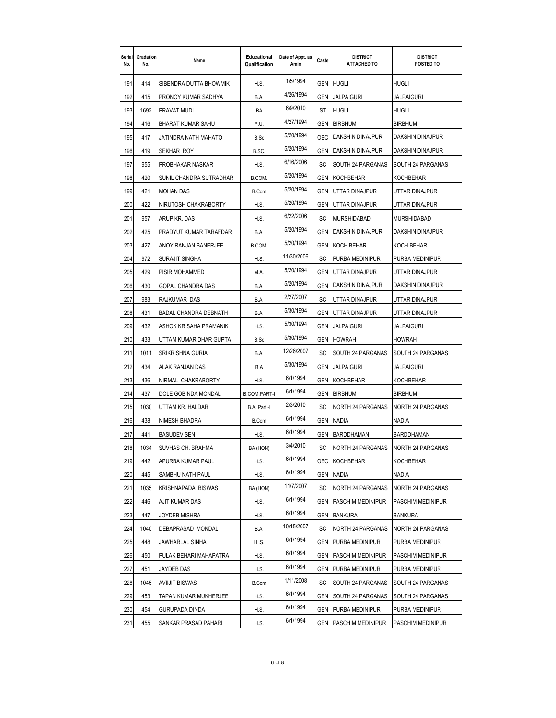| Serial<br>No. | Gradation<br>No. | Name                    | Educational<br>Qualification | Date of Appt. as<br>Amin | Caste      | <b>DISTRICT</b><br><b>ATTACHED TO</b> | <b>DISTRICT</b><br>POSTED TO |
|---------------|------------------|-------------------------|------------------------------|--------------------------|------------|---------------------------------------|------------------------------|
| 191           | 414              | SIBENDRA DUTTA BHOWMIK  | H.S.                         | 1/5/1994                 | GEN        | <b>HUGLI</b>                          | HUGLI                        |
| 192           | 415              | PRONOY KUMAR SADHYA     | B.A.                         | 4/26/1994                | GEN        | <b>JALPAIGURI</b>                     | JALPAIGURI                   |
| 193           | 1692             | PRAVAT MUDI             | BA                           | 6/9/2010                 | <b>ST</b>  | <b>HUGLI</b>                          | HUGLI                        |
| 194           | 416              | BHARAT KUMAR SAHU       | P.U.                         | 4/27/1994                | GEN        | <b>BIRBHUM</b>                        | BIRBHUM                      |
| 195           | 417              | JATINDRA NATH MAHATO    | B.Sc                         | 5/20/1994                | OBC        | <b>DAKSHIN DINAJPUR</b>               | DAKSHIN DINAJPUR             |
| 196           | 419              | <b>SEKHAR ROY</b>       | B.SC.                        | 5/20/1994                | <b>GEN</b> | DAKSHIN DINAJPUR                      | DAKSHIN DINAJPUR             |
| 197           | 955              | PROBHAKAR NASKAR        | H.S.                         | 6/16/2006                | SC         | SOUTH 24 PARGANAS                     | SOUTH 24 PARGANAS            |
| 198           | 420              | SUNIL CHANDRA SUTRADHAR | B.COM.                       | 5/20/1994                | GEN        | <b>KOCHBEHAR</b>                      | KOCHBEHAR                    |
| 199           | 421              | <b>MOHAN DAS</b>        | <b>B.Com</b>                 | 5/20/1994                | <b>GEN</b> | UTTAR DINAJPUR                        | UTTAR DINAJPUR               |
| 200           | 422              | NIRUTOSH CHAKRABORTY    | H.S.                         | 5/20/1994                | <b>GEN</b> | UTTAR DINAJPUR                        | UTTAR DINAJPUR               |
| 201           | 957              | ARUP KR. DAS            | H.S.                         | 6/22/2006                | SC         | <b>MURSHIDABAD</b>                    | MURSHIDABAD                  |
| 202           | 425              | PRADYUT KUMAR TARAFDAR  | B.A.                         | 5/20/1994                | GEN        | DAKSHIN DINAJPUR                      | DAKSHIN DINAJPUR             |
| 203           | 427              | ANOY RANJAN BANERJEE    | B.COM.                       | 5/20/1994                | GEN        | KOCH BEHAR                            | KOCH BEHAR                   |
| 204           | 972              | SURAJIT SINGHA          | H.S.                         | 11/30/2006               | SC         | PURBA MEDINIPUR                       | PURBA MEDINIPUR              |
| 205           | 429              | PISIR MOHAMMED          | M.A.                         | 5/20/1994                | GEN        | UTTAR DINAJPUR                        | UTTAR DINAJPUR               |
| 206           | 430              | GOPAL CHANDRA DAS       | B.A.                         | 5/20/1994                | GEN        | DAKSHIN DINAJPUR                      | DAKSHIN DINAJPUR             |
| 207           | 983              | RAJKUMAR DAS            | B.A.                         | 2/27/2007                | SC         | UTTAR DINAJPUR                        | UTTAR DINAJPUR               |
| 208           | 431              | BADAL CHANDRA DEBNATH   | B.A.                         | 5/30/1994                | GEN        | UTTAR DINAJPUR                        | UTTAR DINAJPUR               |
| 209           | 432              | ASHOK KR SAHA PRAMANIK  | H.S.                         | 5/30/1994                | GEN        | <b>JALPAIGURI</b>                     | JALPAIGURI                   |
| 210           | 433              | UTTAM KUMAR DHAR GUPTA  | B.Sc                         | 5/30/1994                | GEN        | <b>HOWRAH</b>                         | HOWRAH                       |
| 211           | 1011             | SRIKRISHNA GURIA        | B.A.                         | 12/26/2007               | SC         | SOUTH 24 PARGANAS                     | SOUTH 24 PARGANAS            |
| 212           | 434              | ALAK RANJAN DAS         | B.A                          | 5/30/1994                | GEN        | <b>JALPAIGURI</b>                     | JALPAIGURI                   |
| 213           | 436              | NIRMAL CHAKRABORTY      | H.S.                         | 6/1/1994                 | GEN        | <b>KOCHBEHAR</b>                      | KOCHBEHAR                    |
| 214           | 437              | DOLE GOBINDA MONDAL     | <b>B.COM.PART-I</b>          | 6/1/1994                 | GEN        | <b>BIRBHUM</b>                        | <b>BIRBHUM</b>               |
| 215           | 1030             | UTTAM KR. HALDAR        | B.A. Part -I                 | 2/3/2010                 | SC         | <b>NORTH 24 PARGANAS</b>              | NORTH 24 PARGANAS            |
| 216           | 438              | NIMESH BHADRA           | B.Com                        | 6/1/1994                 | GEN        | <b>NADIA</b>                          | <b>NADIA</b>                 |
| 217           | 441              | <b>BASUDEV SEN</b>      | H.S.                         | 6/1/1994                 | GEN        | <b>BARDDHAMAN</b>                     | BARDDHAMAN                   |
| 218           | 1034             | SUVHAS CH. BRAHMA       | BA (HON)                     | 3/4/2010                 | SC         | NORTH 24 PARGANAS                     | <b>NORTH 24 PARGANAS</b>     |
| 219           | 442              | APURBA KUMAR PAUL       | H.S.                         | 6/1/1994                 | OBC        | <b>KOCHBEHAR</b>                      | KOCHBEHAR                    |
| 220           | 445              | SAMBHU NATH PAUL        | H.S.                         | 6/1/1994                 | GEN        | <b>NADIA</b>                          | Nadia                        |
| 221           | 1035             | KRISHNAPADA BISWAS      | BA (HON)                     | 11/7/2007                | SC         | <b>NORTH 24 PARGANAS</b>              | NORTH 24 PARGANAS            |
| 222           | 446              | <b>AJIT KUMAR DAS</b>   | H.S.                         | 6/1/1994                 | GEN        | <b>PASCHIM MEDINIPUR</b>              | PASCHIM MEDINIPUR            |
| 223           | 447              | JOYDEB MISHRA           | H.S.                         | 6/1/1994                 | GEN        | <b>BANKURA</b>                        | BANKURA                      |
| 224           | 1040             | DEBAPRASAD MONDAL       | B.A.                         | 10/15/2007               | SC         | <b>NORTH 24 PARGANAS</b>              | NORTH 24 PARGANAS            |
| 225           | 448              | JAWHARLAL SINHA         | H .S.                        | 6/1/1994                 | GEN        | PURBA MEDINIPUR                       | PURBA MEDINIPUR              |
| 226           | 450              | PULAK BEHARI MAHAPATRA  | H.S.                         | 6/1/1994                 | GEN        | <b>PASCHIM MEDINIPUR</b>              | PASCHIM MEDINIPUR            |
| 227           | 451              | JAYDEB DAS              | H.S.                         | 6/1/1994                 | GEN        | PURBA MEDINIPUR                       | PURBA MEDINIPUR              |
| 228           | 1045             | AVIIJIT BISWAS          | <b>B.Com</b>                 | 1/11/2008                | SC         | SOUTH 24 PARGANAS                     | SOUTH 24 PARGANAS            |
| 229           | 453              | TAPAN KUMAR MUKHERJEE   | H.S.                         | 6/1/1994                 | GEN        | SOUTH 24 PARGANAS                     | SOUTH 24 PARGANAS            |
| 230           | 454              | GURUPADA DINDA          | H.S.                         | 6/1/1994                 | GEN        | PURBA MEDINIPUR                       | PURBA MEDINIPUR              |
| 231           | 455              | SANKAR PRASAD PAHARI    | H.S.                         | 6/1/1994                 |            | <b>GEN PASCHIM MEDINIPUR</b>          | PASCHIM MEDINIPUR            |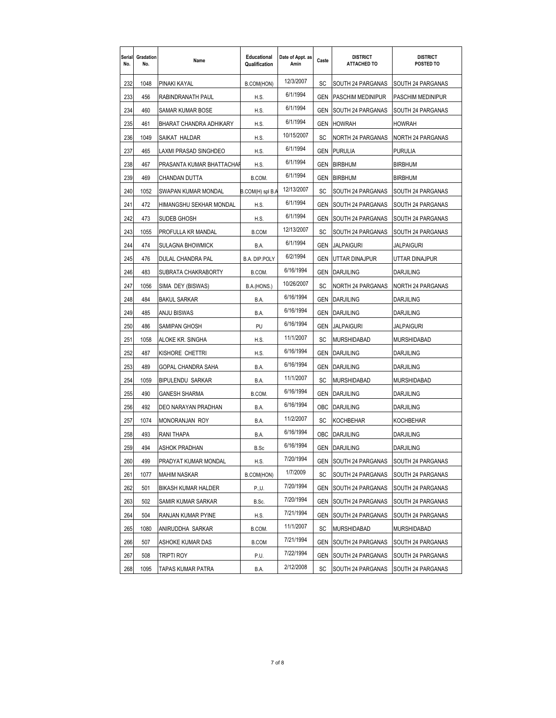| Serial<br>No. | Gradation<br>No. | Name                       | Educational<br>Qualification | Date of Appt. as<br>Amin | Caste      | <b>DISTRICT</b><br><b>ATTACHED TO</b> | <b>DISTRICT</b><br>POSTED TO |
|---------------|------------------|----------------------------|------------------------------|--------------------------|------------|---------------------------------------|------------------------------|
| 232           | 1048             | PINAKI KAYAL               | B.COM(HON)                   | 12/3/2007                | SC         | SOUTH 24 PARGANAS                     | SOUTH 24 PARGANAS            |
| 233           | 456              | RABINDRANATH PAUL          | H.S.                         | 6/1/1994                 | <b>GEN</b> | <b>PASCHIM MEDINIPUR</b>              | PASCHIM MEDINIPUR            |
| 234           | 460              | SAMAR KUMAR BOSE           | H.S.                         | 6/1/1994                 | GEN        | <b>SOUTH 24 PARGANAS</b>              | SOUTH 24 PARGANAS            |
| 235           | 461              | BHARAT CHANDRA ADHIKARY    | H.S.                         | 6/1/1994                 | GEN        | <b>HOWRAH</b>                         | HOWRAH                       |
| 236           | 1049             | SAIKAT HALDAR              | H.S.                         | 10/15/2007               | SC         | NORTH 24 PARGANAS                     | <b>NORTH 24 PARGANAS</b>     |
| 237           | 465              | LAXMI PRASAD SINGHDEO      | H.S.                         | 6/1/1994                 | GEN        | <b>PURULIA</b>                        | PURULIA                      |
| 238           | 467              | PRASANTA KUMAR BHATTACHAR  | H.S.                         | 6/1/1994                 | GEN        | <b>BIRBHUM</b>                        | <b>BIRBHUM</b>               |
| 239           | 469              | CHANDAN DUTTA              | B.COM.                       | 6/1/1994                 | GEN        | <b>BIRBHUM</b>                        | <b>BIRBHUM</b>               |
| 240           | 1052             | SWAPAN KUMAR MONDAL        | B.COM(H) spl B.A             | 12/13/2007               | SC         | SOUTH 24 PARGANAS                     | SOUTH 24 PARGANAS            |
| 241           | 472              | HIMANGSHU SEKHAR MONDAL    | H.S.                         | 6/1/1994                 | <b>GEN</b> | SOUTH 24 PARGANAS                     | SOUTH 24 PARGANAS            |
| 242           | 473              | SUDEB GHOSH                | H.S.                         | 6/1/1994                 | <b>GEN</b> | SOUTH 24 PARGANAS                     | SOUTH 24 PARGANAS            |
| 243           | 1055             | PROFULLA KR MANDAL         | <b>B.COM</b>                 | 12/13/2007               | SC         | SOUTH 24 PARGANAS                     | SOUTH 24 PARGANAS            |
| 244           | 474              | <b>SULAGNA BHOWMICK</b>    | B.A.                         | 6/1/1994                 | GEN        | <b>JALPAIGURI</b>                     | Jalpaiguri                   |
| 245           | 476              | <b>DULAL CHANDRA PAL</b>   | <b>B.A. DIP.POLY</b>         | 6/2/1994                 | GEN        | UTTAR DINAJPUR                        | UTTAR DINAJPUR               |
| 246           | 483              | SUBRATA CHAKRABORTY        | B.COM.                       | 6/16/1994                | GEN        | <b>DARJILING</b>                      | DARJILING                    |
| 247           | 1056             | SIMA DEY (BISWAS)          | B.A.(HONS.)                  | 10/26/2007               | SC         | <b>NORTH 24 PARGANAS</b>              | <b>NORTH 24 PARGANAS</b>     |
| 248           | 484              | <b>BAKUL SARKAR</b>        | B.A.                         | 6/16/1994                | GEN        | <b>DARJILING</b>                      | DARJILING                    |
| 249           | 485              | ANJU BISWAS                | B.A.                         | 6/16/1994                | GEN        | <b>DARJILING</b>                      | Darjiling                    |
| 250           | 486              | SAMIPAN GHOSH              | PU                           | 6/16/1994                | GEN        | <b>JALPAIGURI</b>                     | Jalpaiguri                   |
| 251           | 1058             | ALOKE KR. SINGHA           | H.S.                         | 11/1/2007                | SC         | <b>MURSHIDABAD</b>                    | MURSHIDABAD                  |
| 252           | 487              | KISHORE CHETTRI            | H.S.                         | 6/16/1994                | <b>GEN</b> | <b>DARJILING</b>                      | DARJILING                    |
| 253           | 489              | GOPAL CHANDRA SAHA         | B.A.                         | 6/16/1994                | GEN        | <b>DARJILING</b>                      | DARJILING                    |
| 254           | 1059             | <b>BIPULENDU SARKAR</b>    | B.A.                         | 11/1/2007                | SC         | <b>MURSHIDABAD</b>                    | MURSHIDABAD                  |
| 255           | 490              | GANESH SHARMA              | B.COM.                       | 6/16/1994                | GEN        | <b>DARJILING</b>                      | DARJILING                    |
| 256           | 492              | DEO NARAYAN PRADHAN        | B.A.                         | 6/16/1994                | OBC        | <b>DARJILING</b>                      | DARJILING                    |
| 257           | 1074             | MONORANJAN ROY             | B.A.                         | 11/2/2007                | SC         | <b>KOCHBEHAR</b>                      | KOCHBEHAR                    |
| 258           | 493              | <b>RANI THAPA</b>          | B.A.                         | 6/16/1994                | OBC        | <b>DARJILING</b>                      | DARJILING                    |
| 259           | 494              | ASHOK PRADHAN              | B.Sc                         | 6/16/1994                | GEN        | <b>DARJILING</b>                      | DARJILING                    |
| 260           | 499              | PRADYAT KUMAR MONDAL       | H.S.                         | 7/20/1994                | GEN        | SOUTH 24 PARGANAS                     | SOUTH 24 PARGANAS            |
| 261           | 1077             | MAHIM NASKAR               | B.COM(HON)                   | 1/7/2009                 | SC         | SOUTH 24 PARGANAS                     | SOUTH 24 PARGANAS            |
| 262           | 501              | <b>BIKASH KUMAR HALDER</b> | P., U.                       | 7/20/1994                | GEN        | SOUTH 24 PARGANAS                     | SOUTH 24 PARGANAS            |
| 263           | 502              | SAMIR KUMAR SARKAR         | B.Sc.                        | 7/20/1994                | GEN        | SOUTH 24 PARGANAS                     | SOUTH 24 PARGANAS            |
| 264           | 504              | RANJAN KUMAR PYINE         | H.S.                         | 7/21/1994                | GEN        | SOUTH 24 PARGANAS                     | SOUTH 24 PARGANAS            |
| 265           | 1080             | ANIRUDDHA SARKAR           | B.COM.                       | 11/1/2007                | SC         | <b>MURSHIDABAD</b>                    | MURSHIDABAD                  |
| 266           | 507              | ASHOKE KUMAR DAS           | <b>B.COM</b>                 | 7/21/1994                | GEN        | SOUTH 24 PARGANAS                     | SOUTH 24 PARGANAS            |
| 267           | 508              | TRIPTI ROY                 | P.U.                         | 7/22/1994                | GEN        | SOUTH 24 PARGANAS                     | SOUTH 24 PARGANAS            |
| 268           | 1095             | TAPAS KUMAR PATRA          | B.A.                         | 2/12/2008                | SC         | SOUTH 24 PARGANAS                     | SOUTH 24 PARGANAS            |